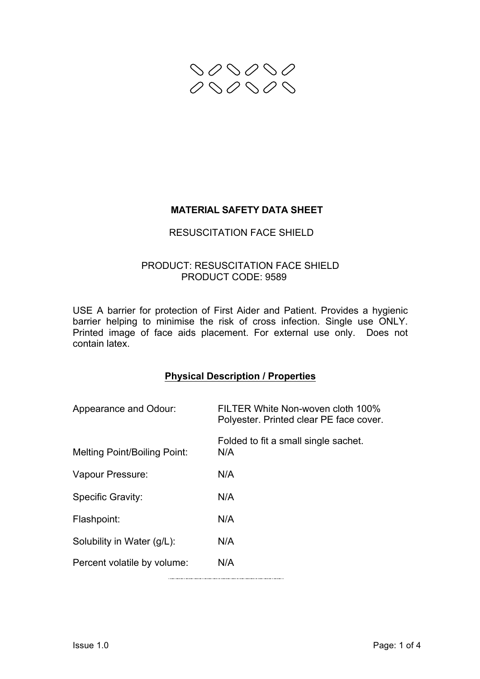

# **MATERIAL SAFETY DATA SHEET**

## RESUSCITATION FACE SHIELD

## PRODUCT: RESUSCITATION FACE SHIELD PRODUCT CODE: 9589

USE A barrier for protection of First Aider and Patient. Provides a hygienic barrier helping to minimise the risk of cross infection. Single use ONLY. Printed image of face aids placement. For external use only. Does not contain latex.

### **Physical Description / Properties**

| Appearance and Odour:        | FILTER White Non-woven cloth 100%<br>Polyester. Printed clear PE face cover. |
|------------------------------|------------------------------------------------------------------------------|
| Melting Point/Boiling Point: | Folded to fit a small single sachet.<br>N/A                                  |
| Vapour Pressure:             | N/A                                                                          |
| Specific Gravity:            | N/A                                                                          |
| Flashpoint:                  | N/A                                                                          |
| Solubility in Water (g/L):   | N/A                                                                          |
| Percent volatile by volume:  | N/A                                                                          |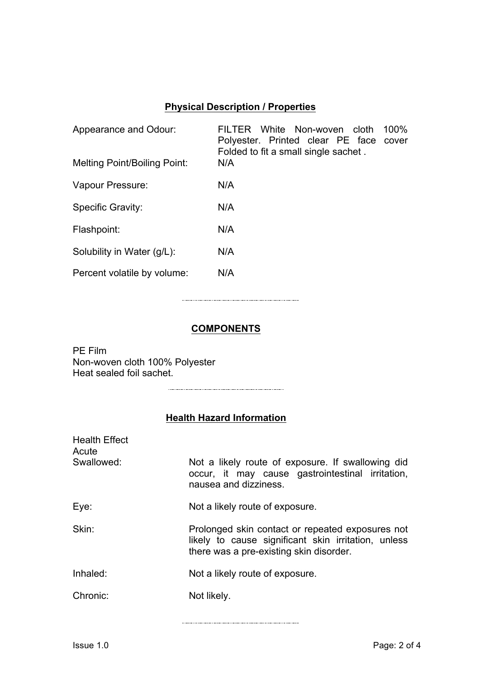# **Physical Description / Properties**

| Appearance and Odour:               | 100%<br>FILTER White Non-woven cloth<br>Polyester. Printed clear PE face cover<br>Folded to fit a small single sachet. |
|-------------------------------------|------------------------------------------------------------------------------------------------------------------------|
| <b>Melting Point/Boiling Point:</b> | N/A                                                                                                                    |
| Vapour Pressure:                    | N/A                                                                                                                    |
| Specific Gravity:                   | N/A                                                                                                                    |
| Flashpoint:                         | N/A                                                                                                                    |
| Solubility in Water (g/L):          | N/A                                                                                                                    |
| Percent volatile by volume:         | N/A                                                                                                                    |

# **COMPONENTS**

PE Film Non-woven cloth 100% Polyester Heat sealed foil sachet.

# **Health Hazard Information**

| <b>Health Effect</b><br>Acute<br>Swallowed: | Not a likely route of exposure. If swallowing did<br>occur, it may cause gastrointestinal irritation,<br>nausea and dizziness.                     |
|---------------------------------------------|----------------------------------------------------------------------------------------------------------------------------------------------------|
| Eye:                                        | Not a likely route of exposure.                                                                                                                    |
| Skin:                                       | Prolonged skin contact or repeated exposures not<br>likely to cause significant skin irritation, unless<br>there was a pre-existing skin disorder. |
| Inhaled:                                    | Not a likely route of exposure.                                                                                                                    |
| Chronic:                                    | Not likely.                                                                                                                                        |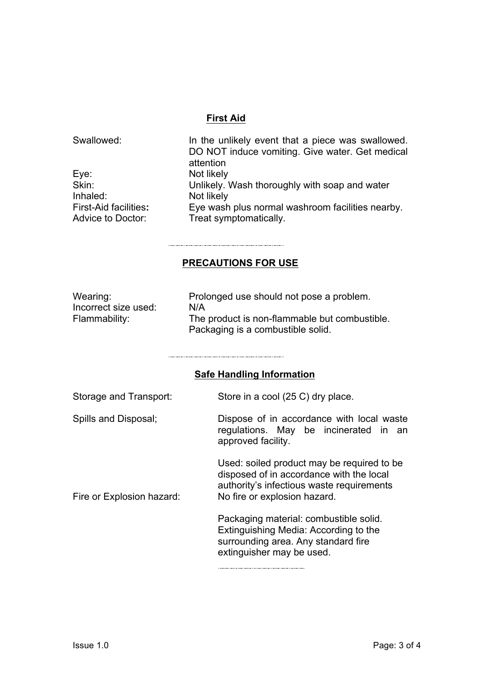#### **First Aid**

| Swallowed:                   | In the unlikely event that a piece was swallowed.<br>DO NOT induce vomiting. Give water. Get medical<br>attention |
|------------------------------|-------------------------------------------------------------------------------------------------------------------|
| Eye:                         | Not likely                                                                                                        |
| Skin:                        | Unlikely. Wash thoroughly with soap and water                                                                     |
| Inhaled:                     | Not likely                                                                                                        |
| <b>First-Aid facilities:</b> | Eye wash plus normal washroom facilities nearby.                                                                  |
| Advice to Doctor:            | Treat symptomatically.                                                                                            |

#### **PRECAUTIONS FOR USE**

| Wearing:             | Prolonged use should not pose a problem.      |
|----------------------|-----------------------------------------------|
| Incorrect size used: | N/A                                           |
| Flammability:        | The product is non-flammable but combustible. |
|                      | Packaging is a combustible solid.             |

#### **Safe Handling Information**

| Storage and Transport: | Store in a cool (25 C) dry place. |
|------------------------|-----------------------------------|
|------------------------|-----------------------------------|

Spills and Disposal; Dispose of in accordance with local waste regulations. May be incinerated in an approved facility.

Used: soiled product may be required to be disposed of in accordance with the local authority's infectious waste requirements Fire or Explosion hazard: No fire or explosion hazard.

> Packaging material: combustible solid. Extinguishing Media: According to the surrounding area. Any standard fire extinguisher may be used.